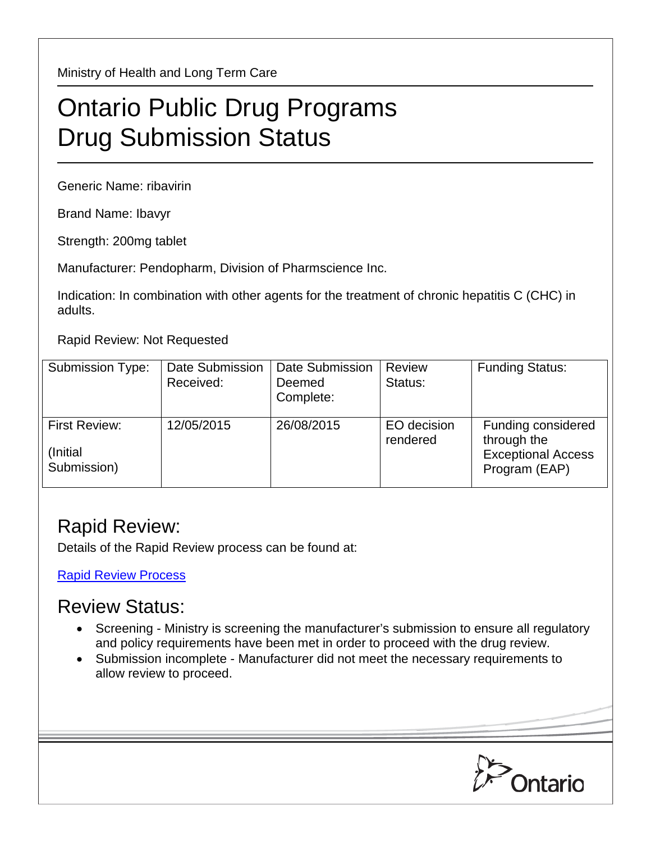Ministry of Health and Long Term Care

## Ontario Public Drug Programs Drug Submission Status

Generic Name: ribavirin

Brand Name: Ibavyr

Strength: 200mg tablet

Manufacturer: Pendopharm, Division of Pharmscience Inc.

Indication: In combination with other agents for the treatment of chronic hepatitis C (CHC) in adults.

Rapid Review: Not Requested

| <b>Submission Type:</b>                          | Date Submission<br>Received: | <b>Date Submission</b><br>Deemed<br>Complete: | <b>Review</b><br>Status: | <b>Funding Status:</b>                                                          |
|--------------------------------------------------|------------------------------|-----------------------------------------------|--------------------------|---------------------------------------------------------------------------------|
| <b>First Review:</b><br>(Initial)<br>Submission) | 12/05/2015                   | 26/08/2015                                    | EO decision<br>rendered  | Funding considered<br>through the<br><b>Exceptional Access</b><br>Program (EAP) |

## Rapid Review:

Details of the Rapid Review process can be found at:

[Rapid Review Process](http://www.health.gov.on.ca/en/pro/programs/drugs/drug_submissions/rapid_review_process.aspx)

## Review Status:

- Screening Ministry is screening the manufacturer's submission to ensure all regulatory and policy requirements have been met in order to proceed with the drug review.
- Submission incomplete Manufacturer did not meet the necessary requirements to allow review to proceed.